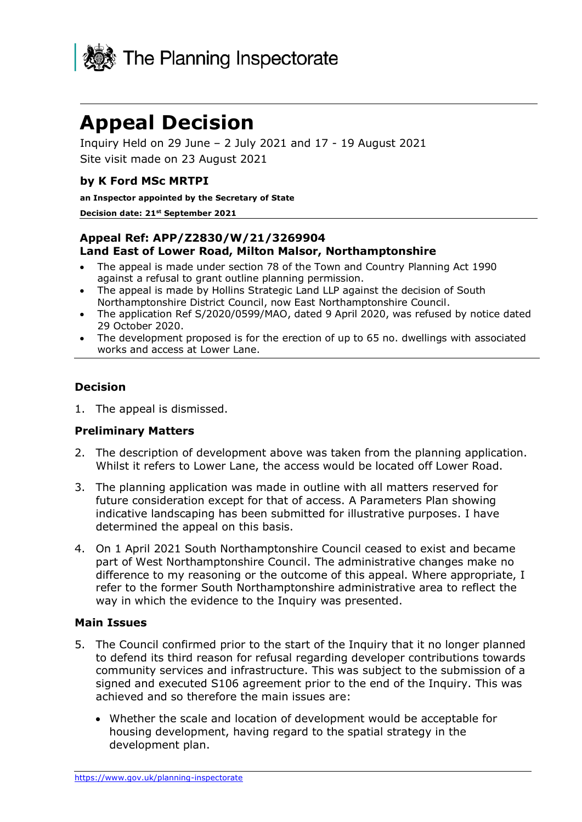

# **Appeal Decision**

Inquiry Held on 29 June – 2 July 2021 and 17 - 19 August 2021 Site visit made on 23 August 2021

#### **by K Ford MSc MRTPI**

**an Inspector appointed by the Secretary of State** 

#### **Decision date: 21 st September 2021**

#### **Appeal Ref: APP/Z2830/W/21/3269904 Land East of Lower Road, Milton Malsor, Northamptonshire**

- The appeal is made under section 78 of the Town and Country Planning Act 1990 against a refusal to grant outline planning permission.
- The appeal is made by Hollins Strategic Land LLP against the decision of South Northamptonshire District Council, now East Northamptonshire Council.
- The application Ref S/2020/0599/MAO, dated 9 April 2020, was refused by notice dated 29 October 2020.
- The development proposed is for the erection of up to 65 no. dwellings with associated works and access at Lower Lane.

#### **Decision**

1. The appeal is dismissed.

#### **Preliminary Matters**

- 2. The description of development above was taken from the planning application. Whilst it refers to Lower Lane, the access would be located off Lower Road.
- 3. The planning application was made in outline with all matters reserved for future consideration except for that of access. A Parameters Plan showing indicative landscaping has been submitted for illustrative purposes. I have determined the appeal on this basis.
- 4. On 1 April 2021 South Northamptonshire Council ceased to exist and became part of West Northamptonshire Council. The administrative changes make no difference to my reasoning or the outcome of this appeal. Where appropriate, I refer to the former South Northamptonshire administrative area to reflect the way in which the evidence to the Inquiry was presented.

#### **Main Issues**

- 5. The Council confirmed prior to the start of the Inquiry that it no longer planned to defend its third reason for refusal regarding developer contributions towards community services and infrastructure. This was subject to the submission of a signed and executed S106 agreement prior to the end of the Inquiry. This was achieved and so therefore the main issues are:
	- Whether the scale and location of development would be acceptable for housing development, having regard to the spatial strategy in the development plan.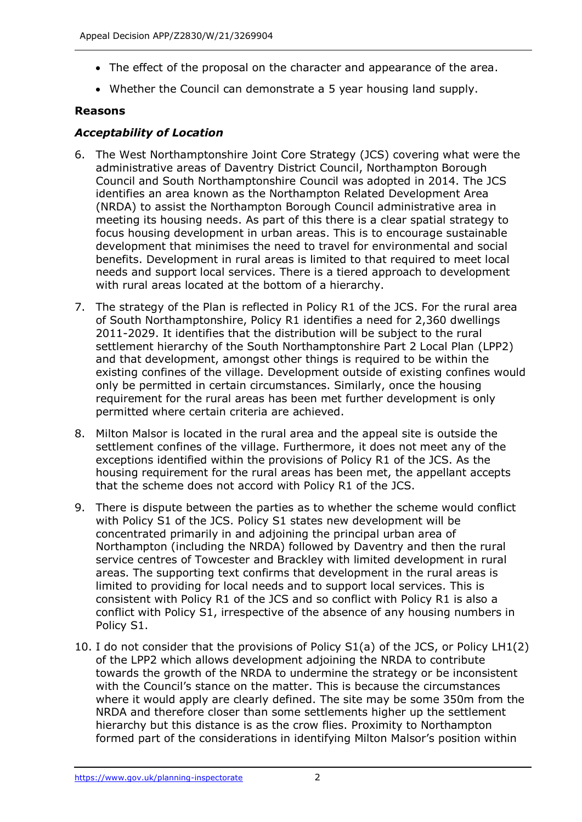- The effect of the proposal on the character and appearance of the area.
- Whether the Council can demonstrate a 5 year housing land supply.

## **Reasons**

## *Acceptability of Location*

- 6. The West Northamptonshire Joint Core Strategy (JCS) covering what were the administrative areas of Daventry District Council, Northampton Borough Council and South Northamptonshire Council was adopted in 2014. The JCS identifies an area known as the Northampton Related Development Area (NRDA) to assist the Northampton Borough Council administrative area in meeting its housing needs. As part of this there is a clear spatial strategy to focus housing development in urban areas. This is to encourage sustainable development that minimises the need to travel for environmental and social benefits. Development in rural areas is limited to that required to meet local needs and support local services. There is a tiered approach to development with rural areas located at the bottom of a hierarchy.
- 7. The strategy of the Plan is reflected in Policy R1 of the JCS. For the rural area of South Northamptonshire, Policy R1 identifies a need for 2,360 dwellings 2011-2029. It identifies that the distribution will be subject to the rural settlement hierarchy of the South Northamptonshire Part 2 Local Plan (LPP2) and that development, amongst other things is required to be within the existing confines of the village. Development outside of existing confines would only be permitted in certain circumstances. Similarly, once the housing requirement for the rural areas has been met further development is only permitted where certain criteria are achieved.
- 8. Milton Malsor is located in the rural area and the appeal site is outside the settlement confines of the village. Furthermore, it does not meet any of the exceptions identified within the provisions of Policy R1 of the JCS. As the housing requirement for the rural areas has been met, the appellant accepts that the scheme does not accord with Policy R1 of the JCS.
- 9. There is dispute between the parties as to whether the scheme would conflict with Policy S1 of the JCS. Policy S1 states new development will be concentrated primarily in and adjoining the principal urban area of Northampton (including the NRDA) followed by Daventry and then the rural service centres of Towcester and Brackley with limited development in rural areas. The supporting text confirms that development in the rural areas is limited to providing for local needs and to support local services. This is consistent with Policy R1 of the JCS and so conflict with Policy R1 is also a conflict with Policy S1, irrespective of the absence of any housing numbers in Policy S1.
- 10. I do not consider that the provisions of Policy S1(a) of the JCS, or Policy LH1(2) of the LPP2 which allows development adjoining the NRDA to contribute towards the growth of the NRDA to undermine the strategy or be inconsistent with the Council's stance on the matter. This is because the circumstances where it would apply are clearly defined. The site may be some 350m from the NRDA and therefore closer than some settlements higher up the settlement hierarchy but this distance is as the crow flies. Proximity to Northampton formed part of the considerations in identifying Milton Malsor's position within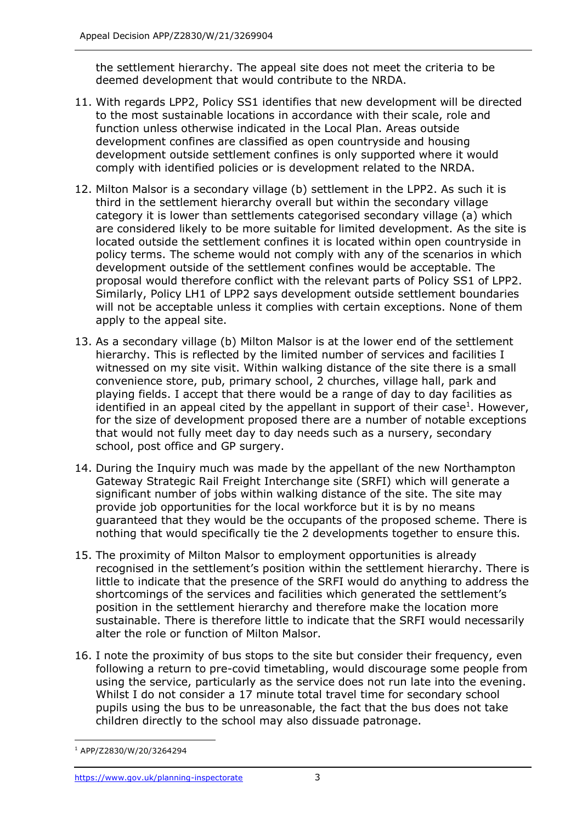the settlement hierarchy. The appeal site does not meet the criteria to be deemed development that would contribute to the NRDA.

- 11. With regards LPP2, Policy SS1 identifies that new development will be directed to the most sustainable locations in accordance with their scale, role and function unless otherwise indicated in the Local Plan. Areas outside development confines are classified as open countryside and housing development outside settlement confines is only supported where it would comply with identified policies or is development related to the NRDA.
- 12. Milton Malsor is a secondary village (b) settlement in the LPP2. As such it is third in the settlement hierarchy overall but within the secondary village category it is lower than settlements categorised secondary village (a) which are considered likely to be more suitable for limited development. As the site is located outside the settlement confines it is located within open countryside in policy terms. The scheme would not comply with any of the scenarios in which development outside of the settlement confines would be acceptable. The proposal would therefore conflict with the relevant parts of Policy SS1 of LPP2. Similarly, Policy LH1 of LPP2 says development outside settlement boundaries will not be acceptable unless it complies with certain exceptions. None of them apply to the appeal site.
- 13. As a secondary village (b) Milton Malsor is at the lower end of the settlement hierarchy. This is reflected by the limited number of services and facilities I witnessed on my site visit. Within walking distance of the site there is a small convenience store, pub, primary school, 2 churches, village hall, park and playing fields. I accept that there would be a range of day to day facilities as identified in an appeal cited by the appellant in support of their case<sup>1</sup>. However, for the size of development proposed there are a number of notable exceptions that would not fully meet day to day needs such as a nursery, secondary school, post office and GP surgery.
- 14. During the Inquiry much was made by the appellant of the new Northampton Gateway Strategic Rail Freight Interchange site (SRFI) which will generate a significant number of jobs within walking distance of the site. The site may provide job opportunities for the local workforce but it is by no means guaranteed that they would be the occupants of the proposed scheme. There is nothing that would specifically tie the 2 developments together to ensure this.
- 15. The proximity of Milton Malsor to employment opportunities is already recognised in the settlement's position within the settlement hierarchy. There is little to indicate that the presence of the SRFI would do anything to address the shortcomings of the services and facilities which generated the settlement's position in the settlement hierarchy and therefore make the location more sustainable. There is therefore little to indicate that the SRFI would necessarily alter the role or function of Milton Malsor.
- 16. I note the proximity of bus stops to the site but consider their frequency, even following a return to pre-covid timetabling, would discourage some people from using the service, particularly as the service does not run late into the evening. Whilst I do not consider a 17 minute total travel time for secondary school pupils using the bus to be unreasonable, the fact that the bus does not take children directly to the school may also dissuade patronage.

<sup>1</sup> APP/Z2830/W/20/3264294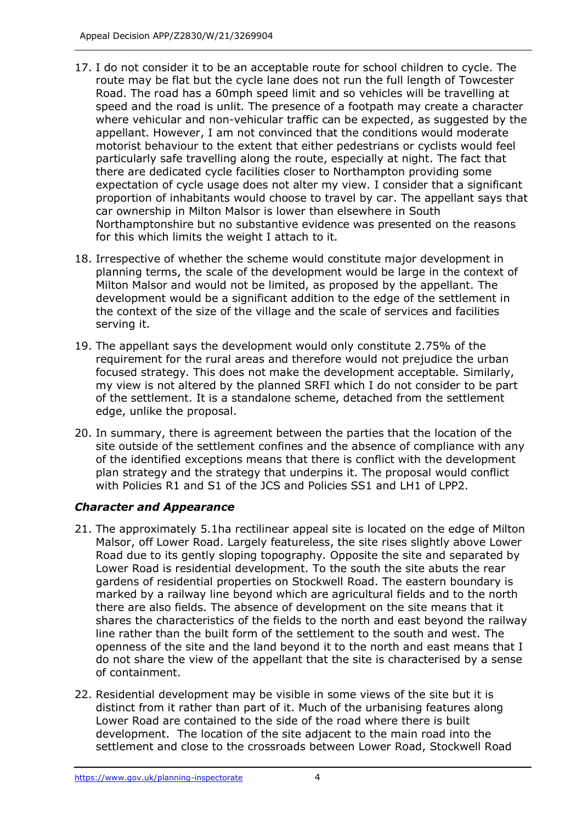- 17. I do not consider it to be an acceptable route for school children to cycle. The route may be flat but the cycle lane does not run the full length of Towcester Road. The road has a 60mph speed limit and so vehicles will be travelling at speed and the road is unlit. The presence of a footpath may create a character where vehicular and non-vehicular traffic can be expected, as suggested by the appellant. However, I am not convinced that the conditions would moderate motorist behaviour to the extent that either pedestrians or cyclists would feel particularly safe travelling along the route, especially at night. The fact that there are dedicated cycle facilities closer to Northampton providing some expectation of cycle usage does not alter my view. I consider that a significant proportion of inhabitants would choose to travel by car. The appellant says that car ownership in Milton Malsor is lower than elsewhere in South Northamptonshire but no substantive evidence was presented on the reasons for this which limits the weight I attach to it.
- 18. Irrespective of whether the scheme would constitute major development in planning terms, the scale of the development would be large in the context of Milton Malsor and would not be limited, as proposed by the appellant. The development would be a significant addition to the edge of the settlement in the context of the size of the village and the scale of services and facilities serving it.
- 19. The appellant says the development would only constitute 2.75% of the requirement for the rural areas and therefore would not prejudice the urban focused strategy. This does not make the development acceptable. Similarly, my view is not altered by the planned SRFI which I do not consider to be part of the settlement. It is a standalone scheme, detached from the settlement edge, unlike the proposal.
- 20. In summary, there is agreement between the parties that the location of the site outside of the settlement confines and the absence of compliance with any of the identified exceptions means that there is conflict with the development plan strategy and the strategy that underpins it. The proposal would conflict with Policies R1 and S1 of the JCS and Policies SS1 and LH1 of LPP2.

# *Character and Appearance*

- 21. The approximately 5.1ha rectilinear appeal site is located on the edge of Milton Malsor, off Lower Road. Largely featureless, the site rises slightly above Lower Road due to its gently sloping topography. Opposite the site and separated by Lower Road is residential development. To the south the site abuts the rear gardens of residential properties on Stockwell Road. The eastern boundary is marked by a railway line beyond which are agricultural fields and to the north there are also fields. The absence of development on the site means that it shares the characteristics of the fields to the north and east beyond the railway line rather than the built form of the settlement to the south and west. The openness of the site and the land beyond it to the north and east means that I do not share the view of the appellant that the site is characterised by a sense of containment.
- 22. Residential development may be visible in some views of the site but it is distinct from it rather than part of it. Much of the urbanising features along Lower Road are contained to the side of the road where there is built development. The location of the site adjacent to the main road into the settlement and close to the crossroads between Lower Road, Stockwell Road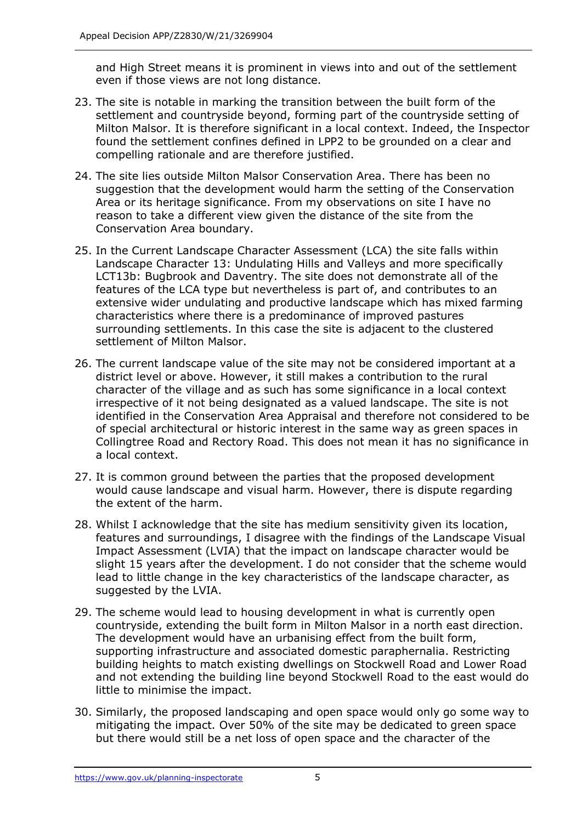and High Street means it is prominent in views into and out of the settlement even if those views are not long distance.

- 23. The site is notable in marking the transition between the built form of the settlement and countryside beyond, forming part of the countryside setting of Milton Malsor. It is therefore significant in a local context. Indeed, the Inspector found the settlement confines defined in LPP2 to be grounded on a clear and compelling rationale and are therefore justified.
- 24. The site lies outside Milton Malsor Conservation Area. There has been no suggestion that the development would harm the setting of the Conservation Area or its heritage significance. From my observations on site I have no reason to take a different view given the distance of the site from the Conservation Area boundary.
- 25. In the Current Landscape Character Assessment (LCA) the site falls within Landscape Character 13: Undulating Hills and Valleys and more specifically LCT13b: Bugbrook and Daventry. The site does not demonstrate all of the features of the LCA type but nevertheless is part of, and contributes to an extensive wider undulating and productive landscape which has mixed farming characteristics where there is a predominance of improved pastures surrounding settlements. In this case the site is adjacent to the clustered settlement of Milton Malsor.
- 26. The current landscape value of the site may not be considered important at a district level or above. However, it still makes a contribution to the rural character of the village and as such has some significance in a local context irrespective of it not being designated as a valued landscape. The site is not identified in the Conservation Area Appraisal and therefore not considered to be of special architectural or historic interest in the same way as green spaces in Collingtree Road and Rectory Road. This does not mean it has no significance in a local context.
- 27. It is common ground between the parties that the proposed development would cause landscape and visual harm. However, there is dispute regarding the extent of the harm.
- 28. Whilst I acknowledge that the site has medium sensitivity given its location, features and surroundings, I disagree with the findings of the Landscape Visual Impact Assessment (LVIA) that the impact on landscape character would be slight 15 years after the development. I do not consider that the scheme would lead to little change in the key characteristics of the landscape character, as suggested by the LVIA.
- 29. The scheme would lead to housing development in what is currently open countryside, extending the built form in Milton Malsor in a north east direction. The development would have an urbanising effect from the built form, supporting infrastructure and associated domestic paraphernalia. Restricting building heights to match existing dwellings on Stockwell Road and Lower Road and not extending the building line beyond Stockwell Road to the east would do little to minimise the impact.
- 30. Similarly, the proposed landscaping and open space would only go some way to mitigating the impact. Over 50% of the site may be dedicated to green space but there would still be a net loss of open space and the character of the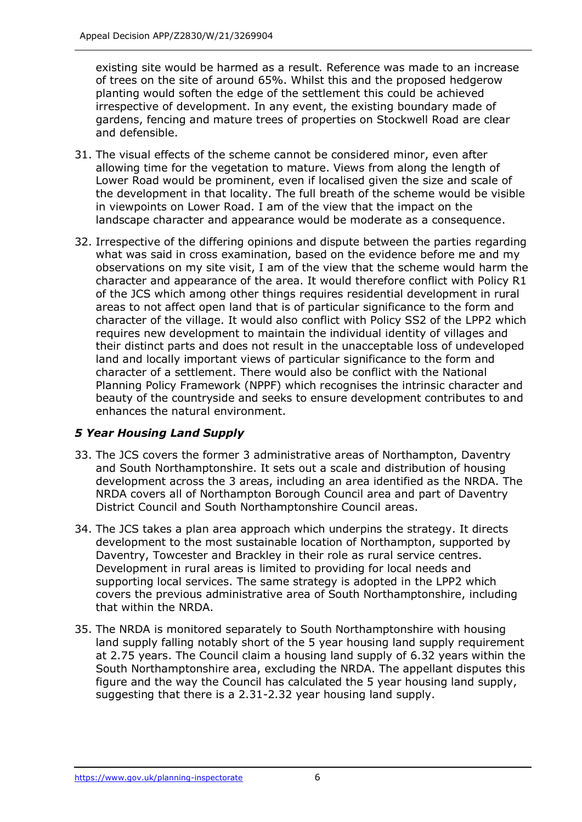existing site would be harmed as a result. Reference was made to an increase of trees on the site of around 65%. Whilst this and the proposed hedgerow planting would soften the edge of the settlement this could be achieved irrespective of development. In any event, the existing boundary made of gardens, fencing and mature trees of properties on Stockwell Road are clear and defensible.

- 31. The visual effects of the scheme cannot be considered minor, even after allowing time for the vegetation to mature. Views from along the length of Lower Road would be prominent, even if localised given the size and scale of the development in that locality. The full breath of the scheme would be visible in viewpoints on Lower Road. I am of the view that the impact on the landscape character and appearance would be moderate as a consequence.
- 32. Irrespective of the differing opinions and dispute between the parties regarding what was said in cross examination, based on the evidence before me and my observations on my site visit, I am of the view that the scheme would harm the character and appearance of the area. It would therefore conflict with Policy R1 of the JCS which among other things requires residential development in rural areas to not affect open land that is of particular significance to the form and character of the village. It would also conflict with Policy SS2 of the LPP2 which requires new development to maintain the individual identity of villages and their distinct parts and does not result in the unacceptable loss of undeveloped land and locally important views of particular significance to the form and character of a settlement. There would also be conflict with the National Planning Policy Framework (NPPF) which recognises the intrinsic character and beauty of the countryside and seeks to ensure development contributes to and enhances the natural environment.

# *5 Year Housing Land Supply*

- 33. The JCS covers the former 3 administrative areas of Northampton, Daventry and South Northamptonshire. It sets out a scale and distribution of housing development across the 3 areas, including an area identified as the NRDA. The NRDA covers all of Northampton Borough Council area and part of Daventry District Council and South Northamptonshire Council areas.
- 34. The JCS takes a plan area approach which underpins the strategy. It directs development to the most sustainable location of Northampton, supported by Daventry, Towcester and Brackley in their role as rural service centres. Development in rural areas is limited to providing for local needs and supporting local services. The same strategy is adopted in the LPP2 which covers the previous administrative area of South Northamptonshire, including that within the NRDA.
- 35. The NRDA is monitored separately to South Northamptonshire with housing land supply falling notably short of the 5 year housing land supply requirement at 2.75 years. The Council claim a housing land supply of 6.32 years within the South Northamptonshire area, excluding the NRDA. The appellant disputes this figure and the way the Council has calculated the 5 year housing land supply, suggesting that there is a 2.31-2.32 year housing land supply.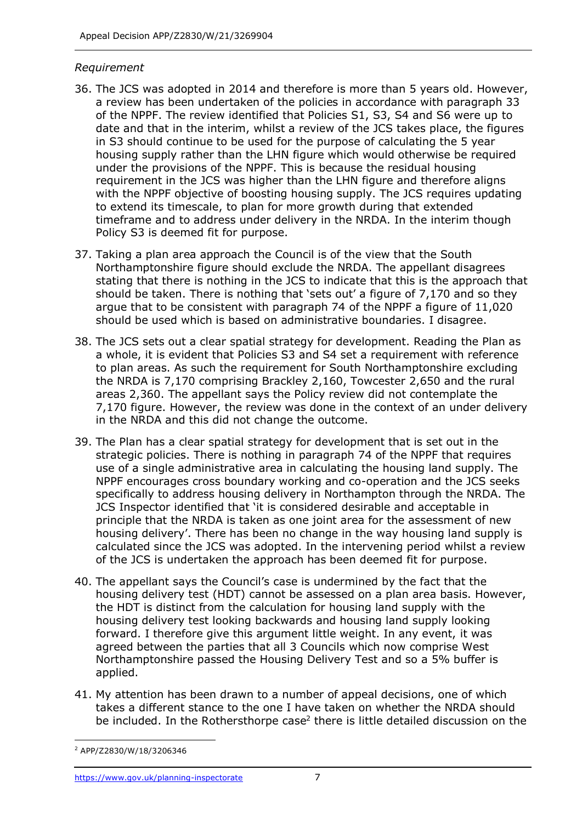#### *Requirement*

- 36. The JCS was adopted in 2014 and therefore is more than 5 years old. However, a review has been undertaken of the policies in accordance with paragraph 33 of the NPPF. The review identified that Policies S1, S3, S4 and S6 were up to date and that in the interim, whilst a review of the JCS takes place, the figures in S3 should continue to be used for the purpose of calculating the 5 year housing supply rather than the LHN figure which would otherwise be required under the provisions of the NPPF. This is because the residual housing requirement in the JCS was higher than the LHN figure and therefore aligns with the NPPF objective of boosting housing supply. The JCS requires updating to extend its timescale, to plan for more growth during that extended timeframe and to address under delivery in the NRDA. In the interim though Policy S3 is deemed fit for purpose.
- 37. Taking a plan area approach the Council is of the view that the South Northamptonshire figure should exclude the NRDA. The appellant disagrees stating that there is nothing in the JCS to indicate that this is the approach that should be taken. There is nothing that 'sets out' a figure of 7,170 and so they argue that to be consistent with paragraph 74 of the NPPF a figure of 11,020 should be used which is based on administrative boundaries. I disagree.
- 38. The JCS sets out a clear spatial strategy for development. Reading the Plan as a whole, it is evident that Policies S3 and S4 set a requirement with reference to plan areas. As such the requirement for South Northamptonshire excluding the NRDA is 7,170 comprising Brackley 2,160, Towcester 2,650 and the rural areas 2,360. The appellant says the Policy review did not contemplate the 7,170 figure. However, the review was done in the context of an under delivery in the NRDA and this did not change the outcome.
- 39. The Plan has a clear spatial strategy for development that is set out in the strategic policies. There is nothing in paragraph 74 of the NPPF that requires use of a single administrative area in calculating the housing land supply. The NPPF encourages cross boundary working and co-operation and the JCS seeks specifically to address housing delivery in Northampton through the NRDA. The JCS Inspector identified that 'it is considered desirable and acceptable in principle that the NRDA is taken as one joint area for the assessment of new housing delivery'. There has been no change in the way housing land supply is calculated since the JCS was adopted. In the intervening period whilst a review of the JCS is undertaken the approach has been deemed fit for purpose.
- 40. The appellant says the Council's case is undermined by the fact that the housing delivery test (HDT) cannot be assessed on a plan area basis. However, the HDT is distinct from the calculation for housing land supply with the housing delivery test looking backwards and housing land supply looking forward. I therefore give this argument little weight. In any event, it was agreed between the parties that all 3 Councils which now comprise West Northamptonshire passed the Housing Delivery Test and so a 5% buffer is applied.
- 41. My attention has been drawn to a number of appeal decisions, one of which takes a different stance to the one I have taken on whether the NRDA should be included. In the Rothersthorpe case<sup>2</sup> there is little detailed discussion on the

<sup>2</sup> APP/Z2830/W/18/3206346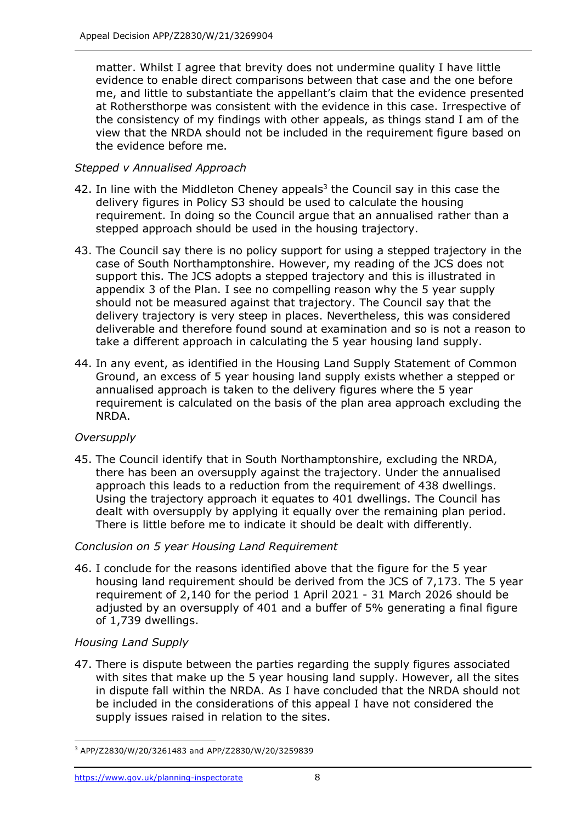matter. Whilst I agree that brevity does not undermine quality I have little evidence to enable direct comparisons between that case and the one before me, and little to substantiate the appellant's claim that the evidence presented at Rothersthorpe was consistent with the evidence in this case. Irrespective of the consistency of my findings with other appeals, as things stand I am of the view that the NRDA should not be included in the requirement figure based on the evidence before me.

## *Stepped v Annualised Approach*

- 42. In line with the Middleton Cheney appeals<sup>3</sup> the Council say in this case the delivery figures in Policy S3 should be used to calculate the housing requirement. In doing so the Council argue that an annualised rather than a stepped approach should be used in the housing trajectory.
- 43. The Council say there is no policy support for using a stepped trajectory in the case of South Northamptonshire. However, my reading of the JCS does not support this. The JCS adopts a stepped trajectory and this is illustrated in appendix 3 of the Plan. I see no compelling reason why the 5 year supply should not be measured against that trajectory. The Council say that the delivery trajectory is very steep in places. Nevertheless, this was considered deliverable and therefore found sound at examination and so is not a reason to take a different approach in calculating the 5 year housing land supply.
- 44. In any event, as identified in the Housing Land Supply Statement of Common Ground, an excess of 5 year housing land supply exists whether a stepped or annualised approach is taken to the delivery figures where the 5 year requirement is calculated on the basis of the plan area approach excluding the NRDA.

## *Oversupply*

45. The Council identify that in South Northamptonshire, excluding the NRDA, there has been an oversupply against the trajectory. Under the annualised approach this leads to a reduction from the requirement of 438 dwellings. Using the trajectory approach it equates to 401 dwellings. The Council has dealt with oversupply by applying it equally over the remaining plan period. There is little before me to indicate it should be dealt with differently.

#### *Conclusion on 5 year Housing Land Requirement*

46. I conclude for the reasons identified above that the figure for the 5 year housing land requirement should be derived from the JCS of 7,173. The 5 year requirement of 2,140 for the period 1 April 2021 - 31 March 2026 should be adjusted by an oversupply of 401 and a buffer of 5% generating a final figure of 1,739 dwellings.

## *Housing Land Supply*

47. There is dispute between the parties regarding the supply figures associated with sites that make up the 5 year housing land supply. However, all the sites in dispute fall within the NRDA. As I have concluded that the NRDA should not be included in the considerations of this appeal I have not considered the supply issues raised in relation to the sites.

<sup>3</sup> APP/Z2830/W/20/3261483 and APP/Z2830/W/20/3259839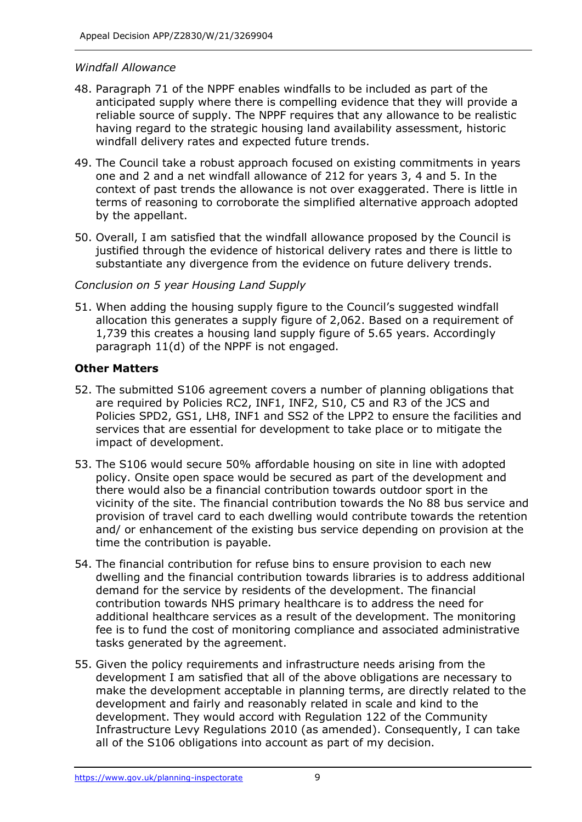#### *Windfall Allowance*

- 48. Paragraph 71 of the NPPF enables windfalls to be included as part of the anticipated supply where there is compelling evidence that they will provide a reliable source of supply. The NPPF requires that any allowance to be realistic having regard to the strategic housing land availability assessment, historic windfall delivery rates and expected future trends.
- 49. The Council take a robust approach focused on existing commitments in years one and 2 and a net windfall allowance of 212 for years 3, 4 and 5. In the context of past trends the allowance is not over exaggerated. There is little in terms of reasoning to corroborate the simplified alternative approach adopted by the appellant.
- 50. Overall, I am satisfied that the windfall allowance proposed by the Council is justified through the evidence of historical delivery rates and there is little to substantiate any divergence from the evidence on future delivery trends.

#### *Conclusion on 5 year Housing Land Supply*

51. When adding the housing supply figure to the Council's suggested windfall allocation this generates a supply figure of 2,062. Based on a requirement of 1,739 this creates a housing land supply figure of 5.65 years. Accordingly paragraph 11(d) of the NPPF is not engaged.

#### **Other Matters**

- 52. The submitted S106 agreement covers a number of planning obligations that are required by Policies RC2, INF1, INF2, S10, C5 and R3 of the JCS and Policies SPD2, GS1, LH8, INF1 and SS2 of the LPP2 to ensure the facilities and services that are essential for development to take place or to mitigate the impact of development.
- 53. The S106 would secure 50% affordable housing on site in line with adopted policy. Onsite open space would be secured as part of the development and there would also be a financial contribution towards outdoor sport in the vicinity of the site. The financial contribution towards the No 88 bus service and provision of travel card to each dwelling would contribute towards the retention and/ or enhancement of the existing bus service depending on provision at the time the contribution is payable.
- 54. The financial contribution for refuse bins to ensure provision to each new dwelling and the financial contribution towards libraries is to address additional demand for the service by residents of the development. The financial contribution towards NHS primary healthcare is to address the need for additional healthcare services as a result of the development. The monitoring fee is to fund the cost of monitoring compliance and associated administrative tasks generated by the agreement.
- 55. Given the policy requirements and infrastructure needs arising from the development I am satisfied that all of the above obligations are necessary to make the development acceptable in planning terms, are directly related to the development and fairly and reasonably related in scale and kind to the development. They would accord with Regulation 122 of the Community Infrastructure Levy Regulations 2010 (as amended). Consequently, I can take all of the S106 obligations into account as part of my decision.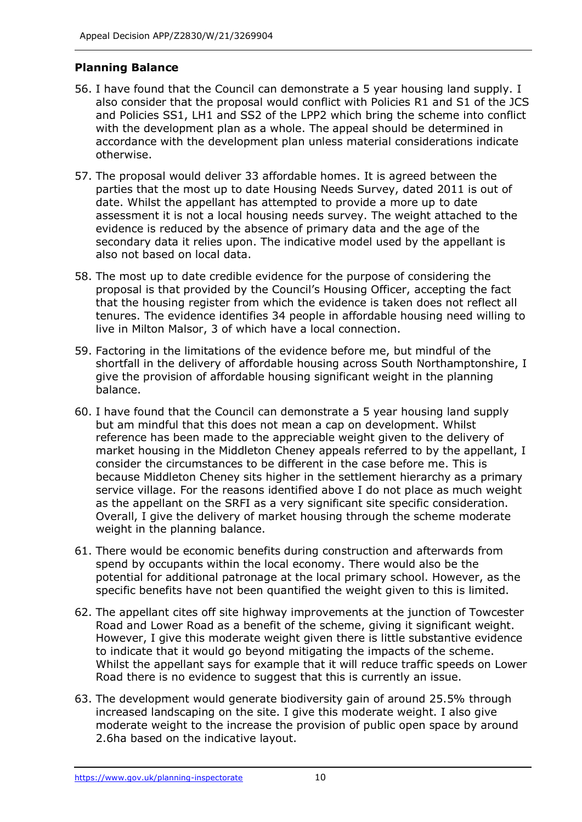## **Planning Balance**

- 56. I have found that the Council can demonstrate a 5 year housing land supply. I also consider that the proposal would conflict with Policies R1 and S1 of the JCS and Policies SS1, LH1 and SS2 of the LPP2 which bring the scheme into conflict with the development plan as a whole. The appeal should be determined in accordance with the development plan unless material considerations indicate otherwise.
- 57. The proposal would deliver 33 affordable homes. It is agreed between the parties that the most up to date Housing Needs Survey, dated 2011 is out of date. Whilst the appellant has attempted to provide a more up to date assessment it is not a local housing needs survey. The weight attached to the evidence is reduced by the absence of primary data and the age of the secondary data it relies upon. The indicative model used by the appellant is also not based on local data.
- 58. The most up to date credible evidence for the purpose of considering the proposal is that provided by the Council's Housing Officer, accepting the fact that the housing register from which the evidence is taken does not reflect all tenures. The evidence identifies 34 people in affordable housing need willing to live in Milton Malsor, 3 of which have a local connection.
- 59. Factoring in the limitations of the evidence before me, but mindful of the shortfall in the delivery of affordable housing across South Northamptonshire, I give the provision of affordable housing significant weight in the planning balance.
- 60. I have found that the Council can demonstrate a 5 year housing land supply but am mindful that this does not mean a cap on development. Whilst reference has been made to the appreciable weight given to the delivery of market housing in the Middleton Cheney appeals referred to by the appellant, I consider the circumstances to be different in the case before me. This is because Middleton Cheney sits higher in the settlement hierarchy as a primary service village. For the reasons identified above I do not place as much weight as the appellant on the SRFI as a very significant site specific consideration. Overall, I give the delivery of market housing through the scheme moderate weight in the planning balance.
- 61. There would be economic benefits during construction and afterwards from spend by occupants within the local economy. There would also be the potential for additional patronage at the local primary school. However, as the specific benefits have not been quantified the weight given to this is limited.
- 62. The appellant cites off site highway improvements at the junction of Towcester Road and Lower Road as a benefit of the scheme, giving it significant weight. However, I give this moderate weight given there is little substantive evidence to indicate that it would go beyond mitigating the impacts of the scheme. Whilst the appellant says for example that it will reduce traffic speeds on Lower Road there is no evidence to suggest that this is currently an issue.
- 63. The development would generate biodiversity gain of around 25.5% through increased landscaping on the site. I give this moderate weight. I also give moderate weight to the increase the provision of public open space by around 2.6ha based on the indicative layout.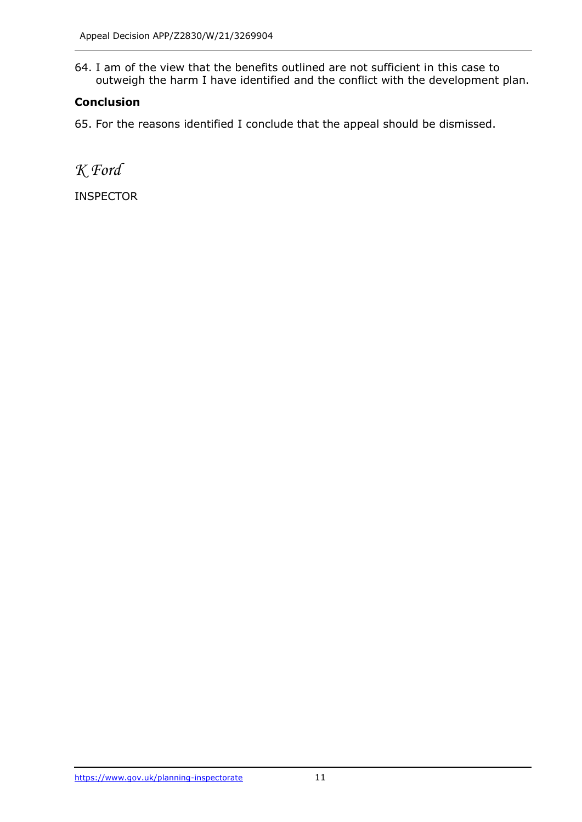64. I am of the view that the benefits outlined are not sufficient in this case to outweigh the harm I have identified and the conflict with the development plan.

## **Conclusion**

65. For the reasons identified I conclude that the appeal should be dismissed.

*K Ford*

INSPECTOR